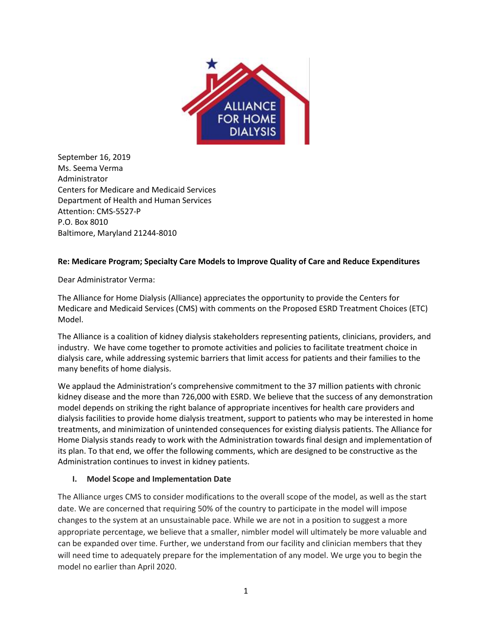

September 16, 2019 Ms. Seema Verma Administrator Centers for Medicare and Medicaid Services Department of Health and Human Services Attention: CMS-5527-P P.O. Box 8010 Baltimore, Maryland 21244-8010

#### **Re: Medicare Program; Specialty Care Models to Improve Quality of Care and Reduce Expenditures**

Dear Administrator Verma:

The Alliance for Home Dialysis (Alliance) appreciates the opportunity to provide the Centers for Medicare and Medicaid Services (CMS) with comments on the Proposed ESRD Treatment Choices (ETC) Model.

The Alliance is a coalition of kidney dialysis stakeholders representing patients, clinicians, providers, and industry. We have come together to promote activities and policies to facilitate treatment choice in dialysis care, while addressing systemic barriers that limit access for patients and their families to the many benefits of home dialysis.

We applaud the Administration's comprehensive commitment to the 37 million patients with chronic kidney disease and the more than 726,000 with ESRD. We believe that the success of any demonstration model depends on striking the right balance of appropriate incentives for health care providers and dialysis facilities to provide home dialysis treatment, support to patients who may be interested in home treatments, and minimization of unintended consequences for existing dialysis patients. The Alliance for Home Dialysis stands ready to work with the Administration towards final design and implementation of its plan. To that end, we offer the following comments, which are designed to be constructive as the Administration continues to invest in kidney patients.

#### **I. Model Scope and Implementation Date**

The Alliance urges CMS to consider modifications to the overall scope of the model, as well as the start date. We are concerned that requiring 50% of the country to participate in the model will impose changes to the system at an unsustainable pace. While we are not in a position to suggest a more appropriate percentage, we believe that a smaller, nimbler model will ultimately be more valuable and can be expanded over time. Further, we understand from our facility and clinician members that they will need time to adequately prepare for the implementation of any model. We urge you to begin the model no earlier than April 2020.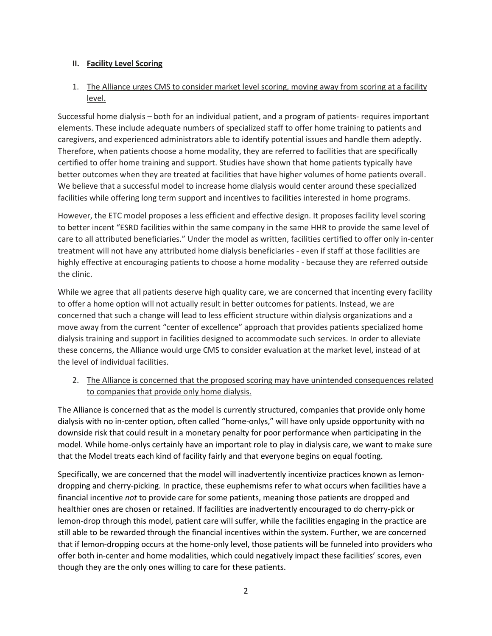### **II. Facility Level Scoring**

### 1. The Alliance urges CMS to consider market level scoring, moving away from scoring at a facility level.

Successful home dialysis – both for an individual patient, and a program of patients- requires important elements. These include adequate numbers of specialized staff to offer home training to patients and caregivers, and experienced administrators able to identify potential issues and handle them adeptly. Therefore, when patients choose a home modality, they are referred to facilities that are specifically certified to offer home training and support. Studies have shown that home patients typically have better outcomes when they are treated at facilities that have higher volumes of home patients overall. We believe that a successful model to increase home dialysis would center around these specialized facilities while offering long term support and incentives to facilities interested in home programs.

However, the ETC model proposes a less efficient and effective design. It proposes facility level scoring to better incent "ESRD facilities within the same company in the same HHR to provide the same level of care to all attributed beneficiaries." Under the model as written, facilities certified to offer only in-center treatment will not have any attributed home dialysis beneficiaries - even if staff at those facilities are highly effective at encouraging patients to choose a home modality - because they are referred outside the clinic.

While we agree that all patients deserve high quality care, we are concerned that incenting every facility to offer a home option will not actually result in better outcomes for patients. Instead, we are concerned that such a change will lead to less efficient structure within dialysis organizations and a move away from the current "center of excellence" approach that provides patients specialized home dialysis training and support in facilities designed to accommodate such services. In order to alleviate these concerns, the Alliance would urge CMS to consider evaluation at the market level, instead of at the level of individual facilities.

2. The Alliance is concerned that the proposed scoring may have unintended consequences related to companies that provide only home dialysis.

The Alliance is concerned that as the model is currently structured, companies that provide only home dialysis with no in-center option, often called "home-onlys," will have only upside opportunity with no downside risk that could result in a monetary penalty for poor performance when participating in the model. While home-onlys certainly have an important role to play in dialysis care, we want to make sure that the Model treats each kind of facility fairly and that everyone begins on equal footing.

Specifically, we are concerned that the model will inadvertently incentivize practices known as lemondropping and cherry-picking. In practice, these euphemisms refer to what occurs when facilities have a financial incentive *not* to provide care for some patients, meaning those patients are dropped and healthier ones are chosen or retained. If facilities are inadvertently encouraged to do cherry-pick or lemon-drop through this model, patient care will suffer, while the facilities engaging in the practice are still able to be rewarded through the financial incentives within the system. Further, we are concerned that if lemon-dropping occurs at the home-only level, those patients will be funneled into providers who offer both in-center and home modalities, which could negatively impact these facilities' scores, even though they are the only ones willing to care for these patients.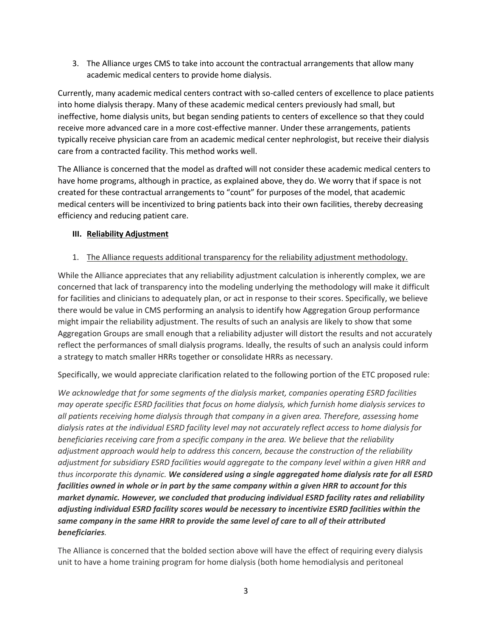3. The Alliance urges CMS to take into account the contractual arrangements that allow many academic medical centers to provide home dialysis.

Currently, many academic medical centers contract with so-called centers of excellence to place patients into home dialysis therapy. Many of these academic medical centers previously had small, but ineffective, home dialysis units, but began sending patients to centers of excellence so that they could receive more advanced care in a more cost-effective manner. Under these arrangements, patients typically receive physician care from an academic medical center nephrologist, but receive their dialysis care from a contracted facility. This method works well.

The Alliance is concerned that the model as drafted will not consider these academic medical centers to have home programs, although in practice, as explained above, they do. We worry that if space is not created for these contractual arrangements to "count" for purposes of the model, that academic medical centers will be incentivized to bring patients back into their own facilities, thereby decreasing efficiency and reducing patient care.

### **III. Reliability Adjustment**

### 1. The Alliance requests additional transparency for the reliability adjustment methodology.

While the Alliance appreciates that any reliability adjustment calculation is inherently complex, we are concerned that lack of transparency into the modeling underlying the methodology will make it difficult for facilities and clinicians to adequately plan, or act in response to their scores. Specifically, we believe there would be value in CMS performing an analysis to identify how Aggregation Group performance might impair the reliability adjustment. The results of such an analysis are likely to show that some Aggregation Groups are small enough that a reliability adjuster will distort the results and not accurately reflect the performances of small dialysis programs. Ideally, the results of such an analysis could inform a strategy to match smaller HRRs together or consolidate HRRs as necessary.

Specifically, we would appreciate clarification related to the following portion of the ETC proposed rule:

*We acknowledge that for some segments of the dialysis market, companies operating ESRD facilities may operate specific ESRD facilities that focus on home dialysis, which furnish home dialysis services to all patients receiving home dialysis through that company in a given area. Therefore, assessing home dialysis rates at the individual ESRD facility level may not accurately reflect access to home dialysis for beneficiaries receiving care from a specific company in the area. We believe that the reliability adjustment approach would help to address this concern, because the construction of the reliability adjustment for subsidiary ESRD facilities would aggregate to the company level within a given HRR and thus incorporate this dynamic. We considered using a single aggregated home dialysis rate for all ESRD facilities owned in whole or in part by the same company within a given HRR to account for this market dynamic. However, we concluded that producing individual ESRD facility rates and reliability adjusting individual ESRD facility scores would be necessary to incentivize ESRD facilities within the same company in the same HRR to provide the same level of care to all of their attributed beneficiaries.* 

The Alliance is concerned that the bolded section above will have the effect of requiring every dialysis unit to have a home training program for home dialysis (both home hemodialysis and peritoneal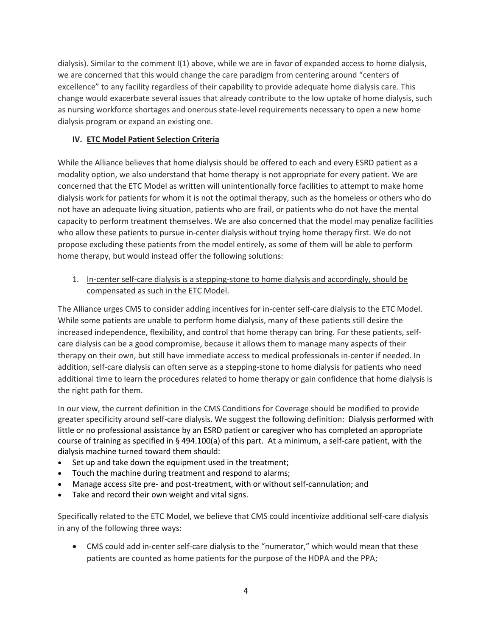dialysis). Similar to the comment I(1) above, while we are in favor of expanded access to home dialysis, we are concerned that this would change the care paradigm from centering around "centers of excellence" to any facility regardless of their capability to provide adequate home dialysis care. This change would exacerbate several issues that already contribute to the low uptake of home dialysis, such as nursing workforce shortages and onerous state-level requirements necessary to open a new home dialysis program or expand an existing one.

### **IV. ETC Model Patient Selection Criteria**

While the Alliance believes that home dialysis should be offered to each and every ESRD patient as a modality option, we also understand that home therapy is not appropriate for every patient. We are concerned that the ETC Model as written will unintentionally force facilities to attempt to make home dialysis work for patients for whom it is not the optimal therapy, such as the homeless or others who do not have an adequate living situation, patients who are frail, or patients who do not have the mental capacity to perform treatment themselves. We are also concerned that the model may penalize facilities who allow these patients to pursue in-center dialysis without trying home therapy first. We do not propose excluding these patients from the model entirely, as some of them will be able to perform home therapy, but would instead offer the following solutions:

1. In-center self-care dialysis is a stepping-stone to home dialysis and accordingly, should be compensated as such in the ETC Model.

The Alliance urges CMS to consider adding incentives for in-center self-care dialysis to the ETC Model. While some patients are unable to perform home dialysis, many of these patients still desire the increased independence, flexibility, and control that home therapy can bring. For these patients, selfcare dialysis can be a good compromise, because it allows them to manage many aspects of their therapy on their own, but still have immediate access to medical professionals in-center if needed. In addition, self-care dialysis can often serve as a stepping-stone to home dialysis for patients who need additional time to learn the procedures related to home therapy or gain confidence that home dialysis is the right path for them.

In our view, the current definition in the CMS Conditions for Coverage should be modified to provide greater specificity around self-care dialysis. We suggest the following definition: Dialysis performed with little or no professional assistance by an ESRD patient or caregiver who has completed an appropriate course of training as specified in § 494.100(a) of this part. At a minimum, a self-care patient, with the dialysis machine turned toward them should:

- Set up and take down the equipment used in the treatment;
- Touch the machine during treatment and respond to alarms;
- Manage access site pre- and post-treatment, with or without self-cannulation; and
- Take and record their own weight and vital signs.

Specifically related to the ETC Model, we believe that CMS could incentivize additional self-care dialysis in any of the following three ways:

• CMS could add in-center self-care dialysis to the "numerator," which would mean that these patients are counted as home patients for the purpose of the HDPA and the PPA;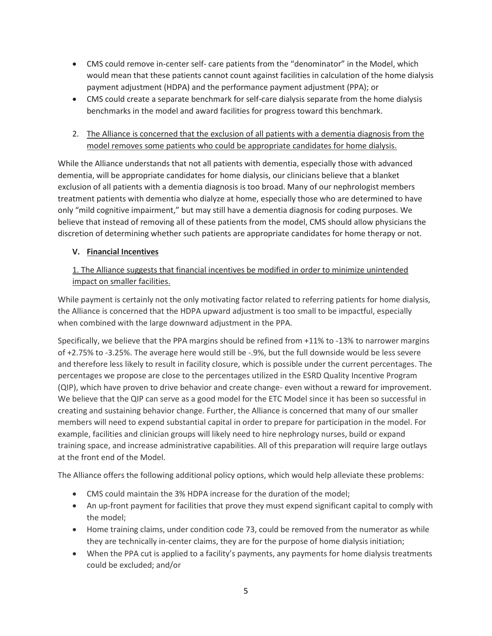- CMS could remove in-center self- care patients from the "denominator" in the Model, which would mean that these patients cannot count against facilities in calculation of the home dialysis payment adjustment (HDPA) and the performance payment adjustment (PPA); or
- CMS could create a separate benchmark for self-care dialysis separate from the home dialysis benchmarks in the model and award facilities for progress toward this benchmark.
- 2. The Alliance is concerned that the exclusion of all patients with a dementia diagnosis from the model removes some patients who could be appropriate candidates for home dialysis.

While the Alliance understands that not all patients with dementia, especially those with advanced dementia, will be appropriate candidates for home dialysis, our clinicians believe that a blanket exclusion of all patients with a dementia diagnosis is too broad. Many of our nephrologist members treatment patients with dementia who dialyze at home, especially those who are determined to have only "mild cognitive impairment," but may still have a dementia diagnosis for coding purposes. We believe that instead of removing all of these patients from the model, CMS should allow physicians the discretion of determining whether such patients are appropriate candidates for home therapy or not.

### **V. Financial Incentives**

## 1. The Alliance suggests that financial incentives be modified in order to minimize unintended impact on smaller facilities.

While payment is certainly not the only motivating factor related to referring patients for home dialysis, the Alliance is concerned that the HDPA upward adjustment is too small to be impactful, especially when combined with the large downward adjustment in the PPA.

Specifically, we believe that the PPA margins should be refined from +11% to -13% to narrower margins of +2.75% to -3.25%. The average here would still be -.9%, but the full downside would be less severe and therefore less likely to result in facility closure, which is possible under the current percentages. The percentages we propose are close to the percentages utilized in the ESRD Quality Incentive Program (QIP), which have proven to drive behavior and create change- even without a reward for improvement. We believe that the QIP can serve as a good model for the ETC Model since it has been so successful in creating and sustaining behavior change. Further, the Alliance is concerned that many of our smaller members will need to expend substantial capital in order to prepare for participation in the model. For example, facilities and clinician groups will likely need to hire nephrology nurses, build or expand training space, and increase administrative capabilities. All of this preparation will require large outlays at the front end of the Model.

The Alliance offers the following additional policy options, which would help alleviate these problems:

- CMS could maintain the 3% HDPA increase for the duration of the model;
- An up-front payment for facilities that prove they must expend significant capital to comply with the model;
- Home training claims, under condition code 73, could be removed from the numerator as while they are technically in-center claims, they are for the purpose of home dialysis initiation;
- When the PPA cut is applied to a facility's payments, any payments for home dialysis treatments could be excluded; and/or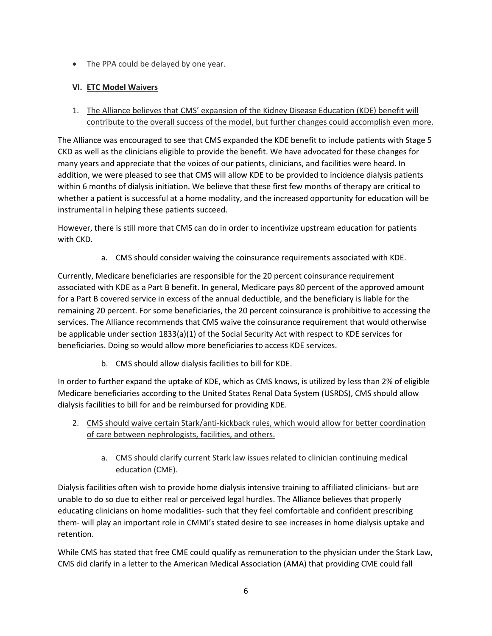• The PPA could be delayed by one year.

# **VI. ETC Model Waivers**

1. The Alliance believes that CMS' expansion of the Kidney Disease Education (KDE) benefit will contribute to the overall success of the model, but further changes could accomplish even more.

The Alliance was encouraged to see that CMS expanded the KDE benefit to include patients with Stage 5 CKD as well as the clinicians eligible to provide the benefit. We have advocated for these changes for many years and appreciate that the voices of our patients, clinicians, and facilities were heard. In addition, we were pleased to see that CMS will allow KDE to be provided to incidence dialysis patients within 6 months of dialysis initiation. We believe that these first few months of therapy are critical to whether a patient is successful at a home modality, and the increased opportunity for education will be instrumental in helping these patients succeed.

However, there is still more that CMS can do in order to incentivize upstream education for patients with CKD.

a. CMS should consider waiving the coinsurance requirements associated with KDE.

Currently, Medicare beneficiaries are responsible for the 20 percent coinsurance requirement associated with KDE as a Part B benefit. In general, Medicare pays 80 percent of the approved amount for a Part B covered service in excess of the annual deductible, and the beneficiary is liable for the remaining 20 percent. For some beneficiaries, the 20 percent coinsurance is prohibitive to accessing the services. The Alliance recommends that CMS waive the coinsurance requirement that would otherwise be applicable under section 1833(a)(1) of the Social Security Act with respect to KDE services for beneficiaries. Doing so would allow more beneficiaries to access KDE services.

b. CMS should allow dialysis facilities to bill for KDE.

In order to further expand the uptake of KDE, which as CMS knows, is utilized by less than 2% of eligible Medicare beneficiaries according to the United States Renal Data System (USRDS), CMS should allow dialysis facilities to bill for and be reimbursed for providing KDE.

- 2. CMS should waive certain Stark/anti-kickback rules, which would allow for better coordination of care between nephrologists, facilities, and others.
	- a. CMS should clarify current Stark law issues related to clinician continuing medical education (CME).

Dialysis facilities often wish to provide home dialysis intensive training to affiliated clinicians- but are unable to do so due to either real or perceived legal hurdles. The Alliance believes that properly educating clinicians on home modalities- such that they feel comfortable and confident prescribing them- will play an important role in CMMI's stated desire to see increases in home dialysis uptake and retention.

While CMS has stated that free CME could qualify as remuneration to the physician under the Stark Law, CMS did clarify in a letter to the American Medical Association (AMA) that providing CME could fall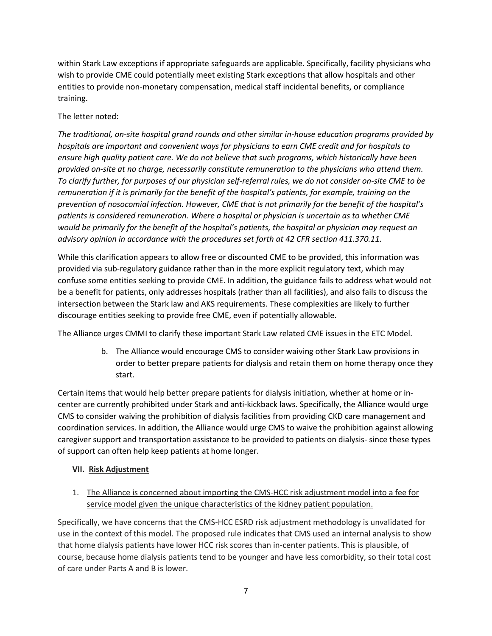within Stark Law exceptions if appropriate safeguards are applicable. Specifically, facility physicians who wish to provide CME could potentially meet existing Stark exceptions that allow hospitals and other entities to provide non-monetary compensation, medical staff incidental benefits, or compliance training.

### The letter noted:

*The traditional, on-site hospital grand rounds and other similar in-house education programs provided by hospitals are important and convenient ways for physicians to earn CME credit and for hospitals to ensure high quality patient care. We do not believe that such programs, which historically have been provided on-site at no charge, necessarily constitute remuneration to the physicians who attend them. To clarify further, for purposes of our physician self-referral rules, we do not consider on-site CME to be remuneration if it is primarily for the benefit of the hospital's patients, for example, training on the prevention of nosocomial infection. However, CME that is not primarily for the benefit of the hospital's patients is considered remuneration. Where a hospital or physician is uncertain as to whether CME would be primarily for the benefit of the hospital's patients, the hospital or physician may request an advisory opinion in accordance with the procedures set forth at 42 CFR section 411.370.11.*

While this clarification appears to allow free or discounted CME to be provided, this information was provided via sub-regulatory guidance rather than in the more explicit regulatory text, which may confuse some entities seeking to provide CME. In addition, the guidance fails to address what would not be a benefit for patients, only addresses hospitals (rather than all facilities), and also fails to discuss the intersection between the Stark law and AKS requirements. These complexities are likely to further discourage entities seeking to provide free CME, even if potentially allowable.

The Alliance urges CMMI to clarify these important Stark Law related CME issues in the ETC Model.

b. The Alliance would encourage CMS to consider waiving other Stark Law provisions in order to better prepare patients for dialysis and retain them on home therapy once they start.

Certain items that would help better prepare patients for dialysis initiation, whether at home or incenter are currently prohibited under Stark and anti-kickback laws. Specifically, the Alliance would urge CMS to consider waiving the prohibition of dialysis facilities from providing CKD care management and coordination services. In addition, the Alliance would urge CMS to waive the prohibition against allowing caregiver support and transportation assistance to be provided to patients on dialysis- since these types of support can often help keep patients at home longer.

### **VII. Risk Adjustment**

1. The Alliance is concerned about importing the CMS-HCC risk adjustment model into a fee for service model given the unique characteristics of the kidney patient population.

Specifically, we have concerns that the CMS-HCC ESRD risk adjustment methodology is unvalidated for use in the context of this model. The proposed rule indicates that CMS used an internal analysis to show that home dialysis patients have lower HCC risk scores than in-center patients. This is plausible, of course, because home dialysis patients tend to be younger and have less comorbidity, so their total cost of care under Parts A and B is lower.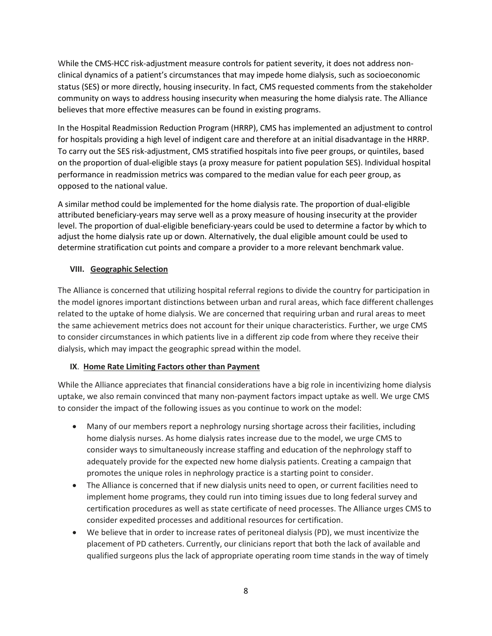While the CMS-HCC risk-adjustment measure controls for patient severity, it does not address nonclinical dynamics of a patient's circumstances that may impede home dialysis, such as socioeconomic status (SES) or more directly, housing insecurity. In fact, CMS requested comments from the stakeholder community on ways to address housing insecurity when measuring the home dialysis rate. The Alliance believes that more effective measures can be found in existing programs.

In the Hospital Readmission Reduction Program (HRRP), CMS has implemented an adjustment to control for hospitals providing a high level of indigent care and therefore at an initial disadvantage in the HRRP. To carry out the SES risk-adjustment, CMS stratified hospitals into five peer groups, or quintiles, based on the proportion of dual-eligible stays (a proxy measure for patient population SES). Individual hospital performance in readmission metrics was compared to the median value for each peer group, as opposed to the national value.

A similar method could be implemented for the home dialysis rate. The proportion of dual-eligible attributed beneficiary-years may serve well as a proxy measure of housing insecurity at the provider level. The proportion of dual-eligible beneficiary-years could be used to determine a factor by which to adjust the home dialysis rate up or down. Alternatively, the dual eligible amount could be used to determine stratification cut points and compare a provider to a more relevant benchmark value.

### **VIII. Geographic Selection**

The Alliance is concerned that utilizing hospital referral regions to divide the country for participation in the model ignores important distinctions between urban and rural areas, which face different challenges related to the uptake of home dialysis. We are concerned that requiring urban and rural areas to meet the same achievement metrics does not account for their unique characteristics. Further, we urge CMS to consider circumstances in which patients live in a different zip code from where they receive their dialysis, which may impact the geographic spread within the model.

### **IX**. **Home Rate Limiting Factors other than Payment**

While the Alliance appreciates that financial considerations have a big role in incentivizing home dialysis uptake, we also remain convinced that many non-payment factors impact uptake as well. We urge CMS to consider the impact of the following issues as you continue to work on the model:

- Many of our members report a nephrology nursing shortage across their facilities, including home dialysis nurses. As home dialysis rates increase due to the model, we urge CMS to consider ways to simultaneously increase staffing and education of the nephrology staff to adequately provide for the expected new home dialysis patients. Creating a campaign that promotes the unique roles in nephrology practice is a starting point to consider.
- The Alliance is concerned that if new dialysis units need to open, or current facilities need to implement home programs, they could run into timing issues due to long federal survey and certification procedures as well as state certificate of need processes. The Alliance urges CMS to consider expedited processes and additional resources for certification.
- We believe that in order to increase rates of peritoneal dialysis (PD), we must incentivize the placement of PD catheters. Currently, our clinicians report that both the lack of available and qualified surgeons plus the lack of appropriate operating room time stands in the way of timely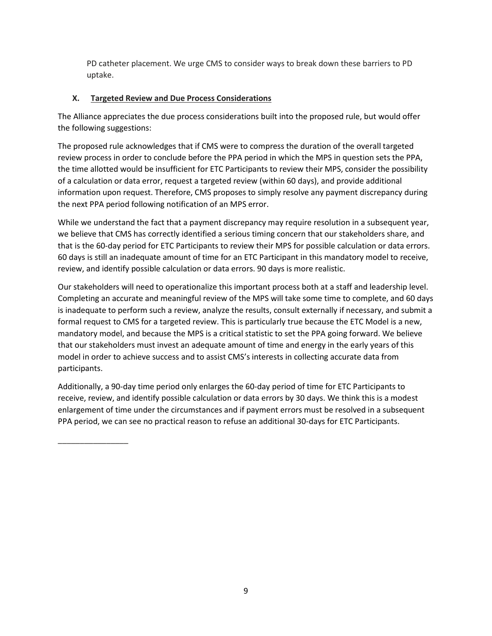PD catheter placement. We urge CMS to consider ways to break down these barriers to PD uptake.

### **X. Targeted Review and Due Process Considerations**

The Alliance appreciates the due process considerations built into the proposed rule, but would offer the following suggestions:

The proposed rule acknowledges that if CMS were to compress the duration of the overall targeted review process in order to conclude before the PPA period in which the MPS in question sets the PPA, the time allotted would be insufficient for ETC Participants to review their MPS, consider the possibility of a calculation or data error, request a targeted review (within 60 days), and provide additional information upon request. Therefore, CMS proposes to simply resolve any payment discrepancy during the next PPA period following notification of an MPS error.

While we understand the fact that a payment discrepancy may require resolution in a subsequent year, we believe that CMS has correctly identified a serious timing concern that our stakeholders share, and that is the 60-day period for ETC Participants to review their MPS for possible calculation or data errors. 60 days is still an inadequate amount of time for an ETC Participant in this mandatory model to receive, review, and identify possible calculation or data errors. 90 days is more realistic.

Our stakeholders will need to operationalize this important process both at a staff and leadership level. Completing an accurate and meaningful review of the MPS will take some time to complete, and 60 days is inadequate to perform such a review, analyze the results, consult externally if necessary, and submit a formal request to CMS for a targeted review. This is particularly true because the ETC Model is a new, mandatory model, and because the MPS is a critical statistic to set the PPA going forward. We believe that our stakeholders must invest an adequate amount of time and energy in the early years of this model in order to achieve success and to assist CMS's interests in collecting accurate data from participants.

Additionally, a 90-day time period only enlarges the 60-day period of time for ETC Participants to receive, review, and identify possible calculation or data errors by 30 days. We think this is a modest enlargement of time under the circumstances and if payment errors must be resolved in a subsequent PPA period, we can see no practical reason to refuse an additional 30-days for ETC Participants.

\_\_\_\_\_\_\_\_\_\_\_\_\_\_\_\_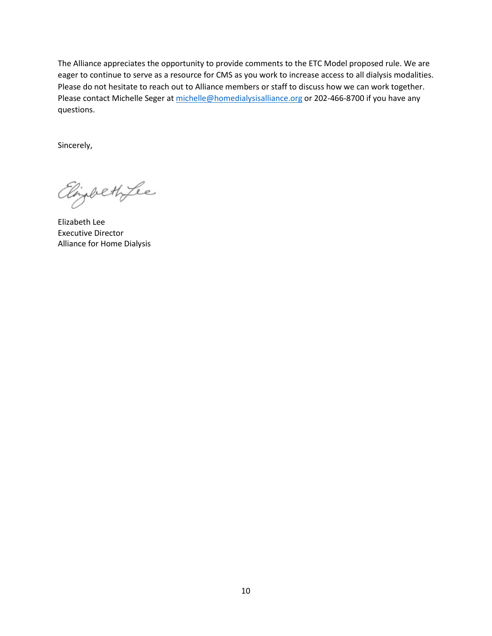The Alliance appreciates the opportunity to provide comments to the ETC Model proposed rule. We are eager to continue to serve as a resource for CMS as you work to increase access to all dialysis modalities. Please do not hesitate to reach out to Alliance members or staff to discuss how we can work together. Please contact Michelle Seger at [michelle@homedialysisalliance.org](mailto:michelle@homedialysisalliance.org) or 202-466-8700 if you have any questions.

Sincerely,

Elizabeth Lee

Elizabeth Lee Executive Director Alliance for Home Dialysis